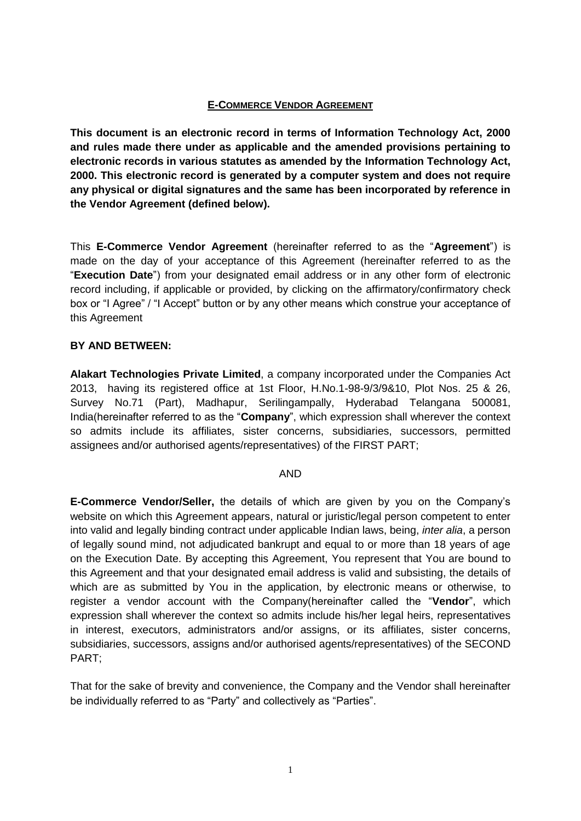### **E-COMMERCE VENDOR AGREEMENT**

**This document is an electronic record in terms of Information Technology Act, 2000 and rules made there under as applicable and the amended provisions pertaining to electronic records in various statutes as amended by the Information Technology Act, 2000. This electronic record is generated by a computer system and does not require any physical or digital signatures and the same has been incorporated by reference in the Vendor Agreement (defined below).**

This **E-Commerce Vendor Agreement** (hereinafter referred to as the "**Agreement**") is made on the day of your acceptance of this Agreement (hereinafter referred to as the "**Execution Date**") from your designated email address or in any other form of electronic record including, if applicable or provided, by clicking on the affirmatory/confirmatory check box or "I Agree" / "I Accept" button or by any other means which construe your acceptance of this Agreement

## **BY AND BETWEEN:**

**Alakart Technologies Private Limited**, a company incorporated under the Companies Act 2013, having its registered office at 1st Floor, H.No.1-98-9/3/9&10, Plot Nos. 25 & 26, Survey No.71 (Part), Madhapur, Serilingampally, Hyderabad Telangana 500081, India(hereinafter referred to as the "**Company**", which expression shall wherever the context so admits include its affiliates, sister concerns, subsidiaries, successors, permitted assignees and/or authorised agents/representatives) of the FIRST PART;

### AND

**E-Commerce Vendor/Seller,** the details of which are given by you on the Company's website on which this Agreement appears, natural or juristic/legal person competent to enter into valid and legally binding contract under applicable Indian laws, being, *inter alia*, a person of legally sound mind, not adjudicated bankrupt and equal to or more than 18 years of age on the Execution Date. By accepting this Agreement, You represent that You are bound to this Agreement and that your designated email address is valid and subsisting, the details of which are as submitted by You in the application, by electronic means or otherwise, to register a vendor account with the Company(hereinafter called the "**Vendor**", which expression shall wherever the context so admits include his/her legal heirs, representatives in interest, executors, administrators and/or assigns, or its affiliates, sister concerns, subsidiaries, successors, assigns and/or authorised agents/representatives) of the SECOND PART;

That for the sake of brevity and convenience, the Company and the Vendor shall hereinafter be individually referred to as "Party" and collectively as "Parties".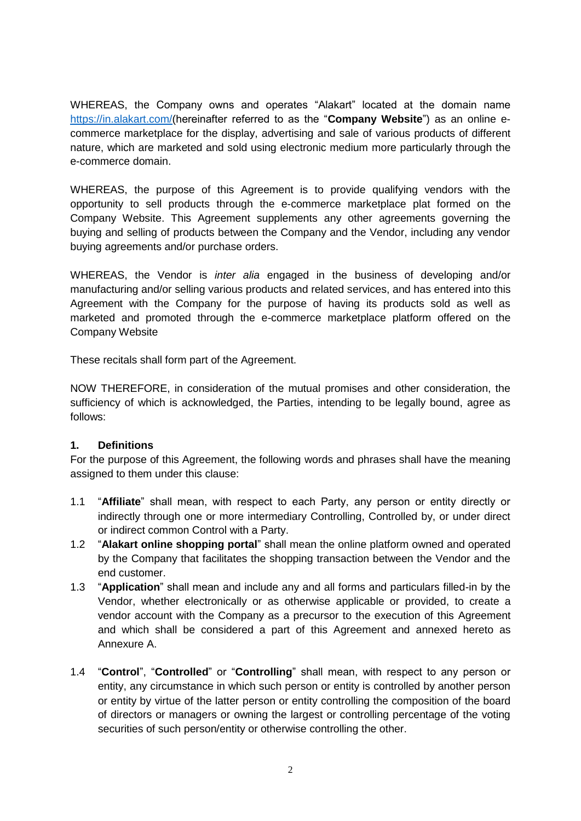WHEREAS, the Company owns and operates "Alakart" located at the domain name [https://in.alakart.com/\(](https://in.alakart.com/)hereinafter referred to as the "**Company Website**") as an online ecommerce marketplace for the display, advertising and sale of various products of different nature, which are marketed and sold using electronic medium more particularly through the e-commerce domain.

WHEREAS, the purpose of this Agreement is to provide qualifying vendors with the opportunity to sell products through the e-commerce marketplace plat formed on the Company Website. This Agreement supplements any other agreements governing the buying and selling of products between the Company and the Vendor, including any vendor buying agreements and/or purchase orders.

WHEREAS, the Vendor is *inter alia* engaged in the business of developing and/or manufacturing and/or selling various products and related services, and has entered into this Agreement with the Company for the purpose of having its products sold as well as marketed and promoted through the e-commerce marketplace platform offered on the Company Website

These recitals shall form part of the Agreement.

NOW THEREFORE, in consideration of the mutual promises and other consideration, the sufficiency of which is acknowledged, the Parties, intending to be legally bound, agree as follows:

# **1. Definitions**

For the purpose of this Agreement, the following words and phrases shall have the meaning assigned to them under this clause:

- 1.1 "**Affiliate**" shall mean, with respect to each Party, any person or entity directly or indirectly through one or more intermediary Controlling, Controlled by, or under direct or indirect common Control with a Party.
- 1.2 "**Alakart online shopping portal**" shall mean the online platform owned and operated by the Company that facilitates the shopping transaction between the Vendor and the end customer.
- 1.3 "**Application**" shall mean and include any and all forms and particulars filled-in by the Vendor, whether electronically or as otherwise applicable or provided, to create a vendor account with the Company as a precursor to the execution of this Agreement and which shall be considered a part of this Agreement and annexed hereto as Annexure A.
- 1.4 "**Control**", "**Controlled**" or "**Controlling**" shall mean, with respect to any person or entity, any circumstance in which such person or entity is controlled by another person or entity by virtue of the latter person or entity controlling the composition of the board of directors or managers or owning the largest or controlling percentage of the voting securities of such person/entity or otherwise controlling the other.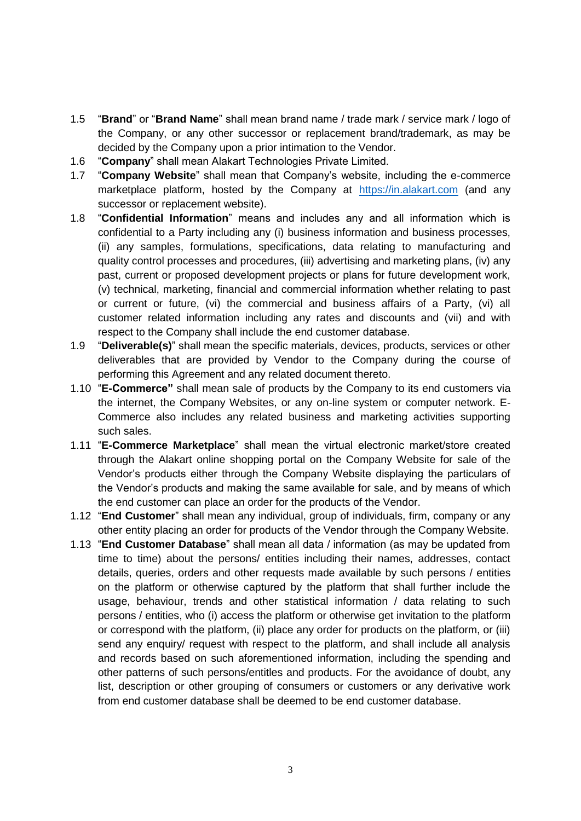- 1.5 "**Brand**" or "**Brand Name**" shall mean brand name / trade mark / service mark / logo of the Company, or any other successor or replacement brand/trademark, as may be decided by the Company upon a prior intimation to the Vendor.
- 1.6 "**Company**" shall mean Alakart Technologies Private Limited.
- 1.7 "**Company Website**" shall mean that Company's website, including the e-commerce marketplace platform, hosted by the Company at [https://in.alakart.com](https://in.alakart.com/) (and any successor or replacement website).
- 1.8 "**Confidential Information**" means and includes any and all information which is confidential to a Party including any (i) business information and business processes, (ii) any samples, formulations, specifications, data relating to manufacturing and quality control processes and procedures, (iii) advertising and marketing plans, (iv) any past, current or proposed development projects or plans for future development work, (v) technical, marketing, financial and commercial information whether relating to past or current or future, (vi) the commercial and business affairs of a Party, (vi) all customer related information including any rates and discounts and (vii) and with respect to the Company shall include the end customer database.
- 1.9 "**Deliverable(s)**" shall mean the specific materials, devices, products, services or other deliverables that are provided by Vendor to the Company during the course of performing this Agreement and any related document thereto.
- 1.10 "**E-Commerce"** shall mean sale of products by the Company to its end customers via the internet, the Company Websites, or any on-line system or computer network. E-Commerce also includes any related business and marketing activities supporting such sales.
- 1.11 "**E-Commerce Marketplace**" shall mean the virtual electronic market/store created through the Alakart online shopping portal on the Company Website for sale of the Vendor's products either through the Company Website displaying the particulars of the Vendor's products and making the same available for sale, and by means of which the end customer can place an order for the products of the Vendor.
- 1.12 "**End Customer**" shall mean any individual, group of individuals, firm, company or any other entity placing an order for products of the Vendor through the Company Website.
- 1.13 "**End Customer Database**" shall mean all data / information (as may be updated from time to time) about the persons/ entities including their names, addresses, contact details, queries, orders and other requests made available by such persons / entities on the platform or otherwise captured by the platform that shall further include the usage, behaviour, trends and other statistical information / data relating to such persons / entities, who (i) access the platform or otherwise get invitation to the platform or correspond with the platform, (ii) place any order for products on the platform, or (iii) send any enquiry/ request with respect to the platform, and shall include all analysis and records based on such aforementioned information, including the spending and other patterns of such persons/entitles and products. For the avoidance of doubt, any list, description or other grouping of consumers or customers or any derivative work from end customer database shall be deemed to be end customer database.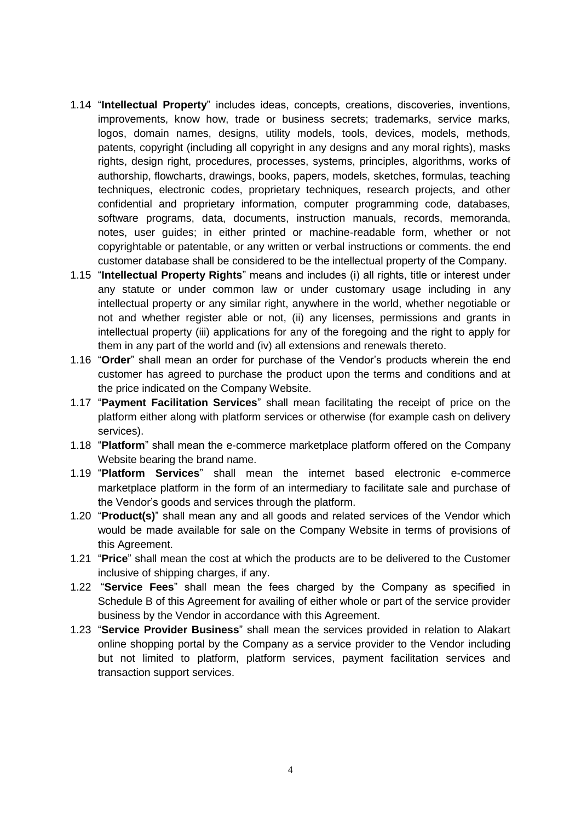- 1.14 "**Intellectual Property**" includes ideas, concepts, creations, discoveries, inventions, improvements, know how, trade or business secrets; trademarks, service marks, logos, domain names, designs, utility models, tools, devices, models, methods, patents, copyright (including all copyright in any designs and any moral rights), masks rights, design right, procedures, processes, systems, principles, algorithms, works of authorship, flowcharts, drawings, books, papers, models, sketches, formulas, teaching techniques, electronic codes, proprietary techniques, research projects, and other confidential and proprietary information, computer programming code, databases, software programs, data, documents, instruction manuals, records, memoranda, notes, user guides; in either printed or machine-readable form, whether or not copyrightable or patentable, or any written or verbal instructions or comments. the end customer database shall be considered to be the intellectual property of the Company.
- 1.15 "**Intellectual Property Rights**" means and includes (i) all rights, title or interest under any statute or under common law or under customary usage including in any intellectual property or any similar right, anywhere in the world, whether negotiable or not and whether register able or not, (ii) any licenses, permissions and grants in intellectual property (iii) applications for any of the foregoing and the right to apply for them in any part of the world and (iv) all extensions and renewals thereto.
- 1.16 "**Order**" shall mean an order for purchase of the Vendor's products wherein the end customer has agreed to purchase the product upon the terms and conditions and at the price indicated on the Company Website.
- 1.17 "**Payment Facilitation Services**" shall mean facilitating the receipt of price on the platform either along with platform services or otherwise (for example cash on delivery services).
- 1.18 "**Platform**" shall mean the e-commerce marketplace platform offered on the Company Website bearing the brand name.
- 1.19 "**Platform Services**" shall mean the internet based electronic e-commerce marketplace platform in the form of an intermediary to facilitate sale and purchase of the Vendor's goods and services through the platform.
- 1.20 "**Product(s)**" shall mean any and all goods and related services of the Vendor which would be made available for sale on the Company Website in terms of provisions of this Agreement.
- 1.21 "**Price**" shall mean the cost at which the products are to be delivered to the Customer inclusive of shipping charges, if any.
- 1.22 "**Service Fees**" shall mean the fees charged by the Company as specified in Schedule B of this Agreement for availing of either whole or part of the service provider business by the Vendor in accordance with this Agreement.
- 1.23 "**Service Provider Business**" shall mean the services provided in relation to Alakart online shopping portal by the Company as a service provider to the Vendor including but not limited to platform, platform services, payment facilitation services and transaction support services.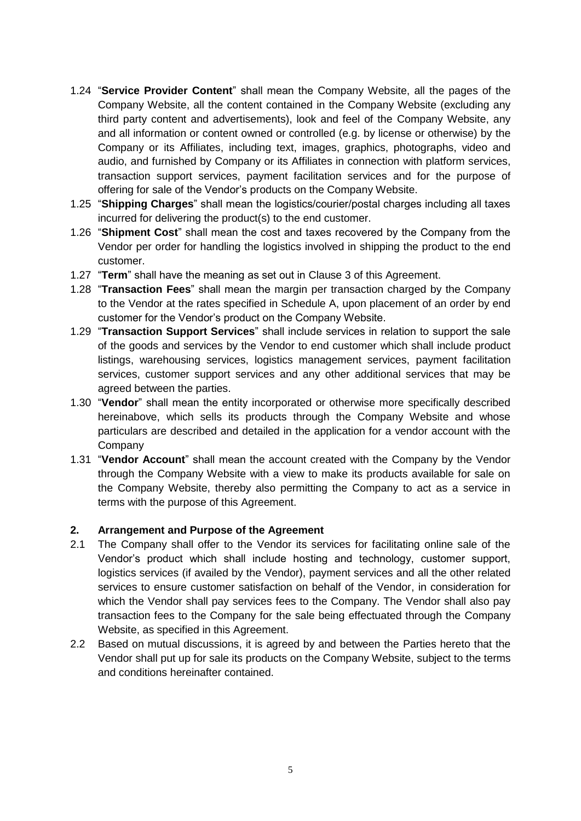- 1.24 "**Service Provider Content**" shall mean the Company Website, all the pages of the Company Website, all the content contained in the Company Website (excluding any third party content and advertisements), look and feel of the Company Website, any and all information or content owned or controlled (e.g. by license or otherwise) by the Company or its Affiliates, including text, images, graphics, photographs, video and audio, and furnished by Company or its Affiliates in connection with platform services, transaction support services, payment facilitation services and for the purpose of offering for sale of the Vendor's products on the Company Website.
- 1.25 "**Shipping Charges**" shall mean the logistics/courier/postal charges including all taxes incurred for delivering the product(s) to the end customer.
- 1.26 "**Shipment Cost**" shall mean the cost and taxes recovered by the Company from the Vendor per order for handling the logistics involved in shipping the product to the end customer.
- 1.27 "**Term**" shall have the meaning as set out in Clause 3 of this Agreement.
- 1.28 "**Transaction Fees**" shall mean the margin per transaction charged by the Company to the Vendor at the rates specified in Schedule A, upon placement of an order by end customer for the Vendor's product on the Company Website.
- 1.29 "**Transaction Support Services**" shall include services in relation to support the sale of the goods and services by the Vendor to end customer which shall include product listings, warehousing services, logistics management services, payment facilitation services, customer support services and any other additional services that may be agreed between the parties.
- 1.30 "**Vendor**" shall mean the entity incorporated or otherwise more specifically described hereinabove, which sells its products through the Company Website and whose particulars are described and detailed in the application for a vendor account with the **Company**
- 1.31 "**Vendor Account**" shall mean the account created with the Company by the Vendor through the Company Website with a view to make its products available for sale on the Company Website, thereby also permitting the Company to act as a service in terms with the purpose of this Agreement.

### **2. Arrangement and Purpose of the Agreement**

- 2.1 The Company shall offer to the Vendor its services for facilitating online sale of the Vendor's product which shall include hosting and technology, customer support, logistics services (if availed by the Vendor), payment services and all the other related services to ensure customer satisfaction on behalf of the Vendor, in consideration for which the Vendor shall pay services fees to the Company. The Vendor shall also pay transaction fees to the Company for the sale being effectuated through the Company Website, as specified in this Agreement.
- 2.2 Based on mutual discussions, it is agreed by and between the Parties hereto that the Vendor shall put up for sale its products on the Company Website, subject to the terms and conditions hereinafter contained.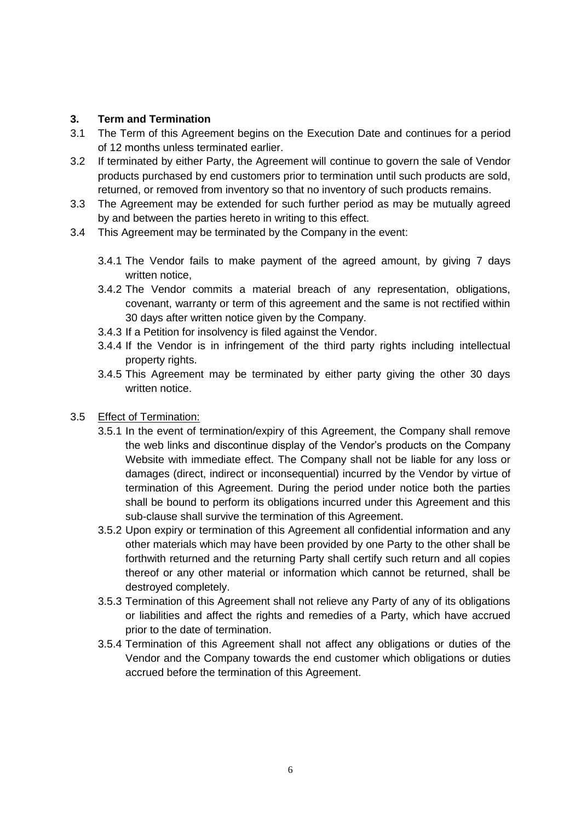# **3. Term and Termination**

- 3.1 The Term of this Agreement begins on the Execution Date and continues for a period of 12 months unless terminated earlier.
- 3.2 If terminated by either Party, the Agreement will continue to govern the sale of Vendor products purchased by end customers prior to termination until such products are sold, returned, or removed from inventory so that no inventory of such products remains.
- 3.3 The Agreement may be extended for such further period as may be mutually agreed by and between the parties hereto in writing to this effect.
- 3.4 This Agreement may be terminated by the Company in the event:
	- 3.4.1 The Vendor fails to make payment of the agreed amount, by giving 7 days written notice.
	- 3.4.2 The Vendor commits a material breach of any representation, obligations, covenant, warranty or term of this agreement and the same is not rectified within 30 days after written notice given by the Company.
	- 3.4.3 If a Petition for insolvency is filed against the Vendor.
	- 3.4.4 If the Vendor is in infringement of the third party rights including intellectual property rights.
	- 3.4.5 This Agreement may be terminated by either party giving the other 30 days written notice.

# 3.5 Effect of Termination:

- 3.5.1 In the event of termination/expiry of this Agreement, the Company shall remove the web links and discontinue display of the Vendor's products on the Company Website with immediate effect. The Company shall not be liable for any loss or damages (direct, indirect or inconsequential) incurred by the Vendor by virtue of termination of this Agreement. During the period under notice both the parties shall be bound to perform its obligations incurred under this Agreement and this sub-clause shall survive the termination of this Agreement.
- 3.5.2 Upon expiry or termination of this Agreement all confidential information and any other materials which may have been provided by one Party to the other shall be forthwith returned and the returning Party shall certify such return and all copies thereof or any other material or information which cannot be returned, shall be destroyed completely.
- 3.5.3 Termination of this Agreement shall not relieve any Party of any of its obligations or liabilities and affect the rights and remedies of a Party, which have accrued prior to the date of termination.
- 3.5.4 Termination of this Agreement shall not affect any obligations or duties of the Vendor and the Company towards the end customer which obligations or duties accrued before the termination of this Agreement.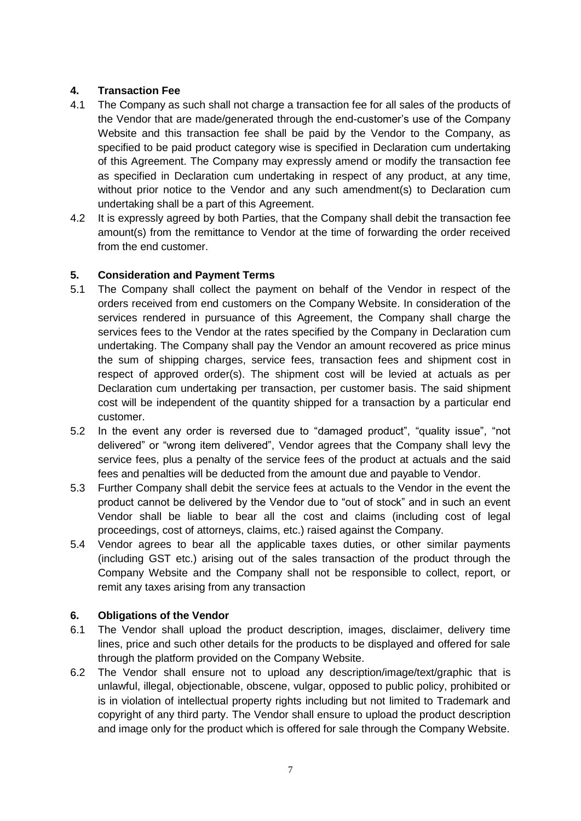# **4. Transaction Fee**

- 4.1 The Company as such shall not charge a transaction fee for all sales of the products of the Vendor that are made/generated through the end-customer's use of the Company Website and this transaction fee shall be paid by the Vendor to the Company, as specified to be paid product category wise is specified in Declaration cum undertaking of this Agreement. The Company may expressly amend or modify the transaction fee as specified in Declaration cum undertaking in respect of any product, at any time, without prior notice to the Vendor and any such amendment(s) to Declaration cum undertaking shall be a part of this Agreement.
- 4.2 It is expressly agreed by both Parties, that the Company shall debit the transaction fee amount(s) from the remittance to Vendor at the time of forwarding the order received from the end customer.

# **5. Consideration and Payment Terms**

- 5.1 The Company shall collect the payment on behalf of the Vendor in respect of the orders received from end customers on the Company Website. In consideration of the services rendered in pursuance of this Agreement, the Company shall charge the services fees to the Vendor at the rates specified by the Company in Declaration cum undertaking. The Company shall pay the Vendor an amount recovered as price minus the sum of shipping charges, service fees, transaction fees and shipment cost in respect of approved order(s). The shipment cost will be levied at actuals as per Declaration cum undertaking per transaction, per customer basis. The said shipment cost will be independent of the quantity shipped for a transaction by a particular end customer.
- 5.2 In the event any order is reversed due to "damaged product", "quality issue", "not delivered" or "wrong item delivered", Vendor agrees that the Company shall levy the service fees, plus a penalty of the service fees of the product at actuals and the said fees and penalties will be deducted from the amount due and payable to Vendor.
- 5.3 Further Company shall debit the service fees at actuals to the Vendor in the event the product cannot be delivered by the Vendor due to "out of stock" and in such an event Vendor shall be liable to bear all the cost and claims (including cost of legal proceedings, cost of attorneys, claims, etc.) raised against the Company.
- 5.4 Vendor agrees to bear all the applicable taxes duties, or other similar payments (including GST etc.) arising out of the sales transaction of the product through the Company Website and the Company shall not be responsible to collect, report, or remit any taxes arising from any transaction

# **6. Obligations of the Vendor**

- 6.1 The Vendor shall upload the product description, images, disclaimer, delivery time lines, price and such other details for the products to be displayed and offered for sale through the platform provided on the Company Website.
- 6.2 The Vendor shall ensure not to upload any description/image/text/graphic that is unlawful, illegal, objectionable, obscene, vulgar, opposed to public policy, prohibited or is in violation of intellectual property rights including but not limited to Trademark and copyright of any third party. The Vendor shall ensure to upload the product description and image only for the product which is offered for sale through the Company Website.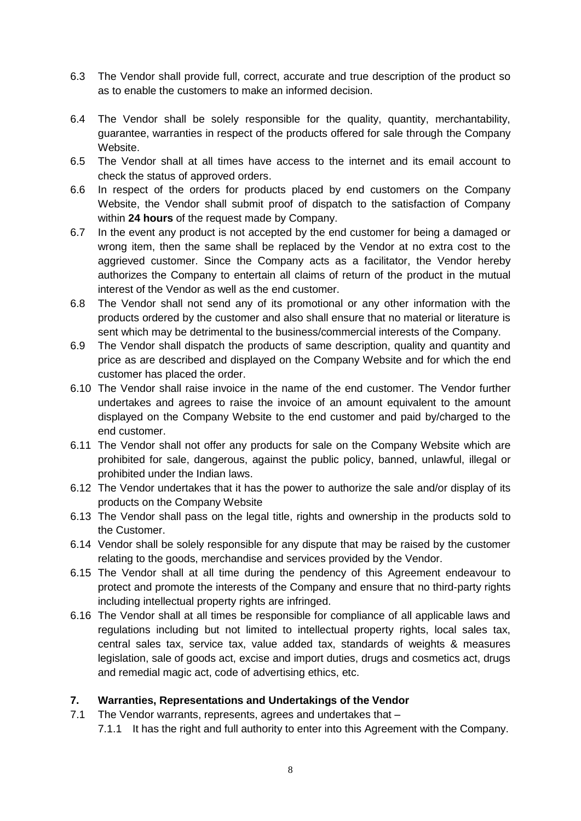- 6.3 The Vendor shall provide full, correct, accurate and true description of the product so as to enable the customers to make an informed decision.
- 6.4 The Vendor shall be solely responsible for the quality, quantity, merchantability, guarantee, warranties in respect of the products offered for sale through the Company Website.
- 6.5 The Vendor shall at all times have access to the internet and its email account to check the status of approved orders.
- 6.6 In respect of the orders for products placed by end customers on the Company Website, the Vendor shall submit proof of dispatch to the satisfaction of Company within **24 hours** of the request made by Company.
- 6.7 In the event any product is not accepted by the end customer for being a damaged or wrong item, then the same shall be replaced by the Vendor at no extra cost to the aggrieved customer. Since the Company acts as a facilitator, the Vendor hereby authorizes the Company to entertain all claims of return of the product in the mutual interest of the Vendor as well as the end customer.
- 6.8 The Vendor shall not send any of its promotional or any other information with the products ordered by the customer and also shall ensure that no material or literature is sent which may be detrimental to the business/commercial interests of the Company.
- 6.9 The Vendor shall dispatch the products of same description, quality and quantity and price as are described and displayed on the Company Website and for which the end customer has placed the order.
- 6.10 The Vendor shall raise invoice in the name of the end customer. The Vendor further undertakes and agrees to raise the invoice of an amount equivalent to the amount displayed on the Company Website to the end customer and paid by/charged to the end customer.
- 6.11 The Vendor shall not offer any products for sale on the Company Website which are prohibited for sale, dangerous, against the public policy, banned, unlawful, illegal or prohibited under the Indian laws.
- 6.12 The Vendor undertakes that it has the power to authorize the sale and/or display of its products on the Company Website
- 6.13 The Vendor shall pass on the legal title, rights and ownership in the products sold to the Customer.
- 6.14 Vendor shall be solely responsible for any dispute that may be raised by the customer relating to the goods, merchandise and services provided by the Vendor.
- 6.15 The Vendor shall at all time during the pendency of this Agreement endeavour to protect and promote the interests of the Company and ensure that no third-party rights including intellectual property rights are infringed.
- 6.16 The Vendor shall at all times be responsible for compliance of all applicable laws and regulations including but not limited to intellectual property rights, local sales tax, central sales tax, service tax, value added tax, standards of weights & measures legislation, sale of goods act, excise and import duties, drugs and cosmetics act, drugs and remedial magic act, code of advertising ethics, etc.

# **7. Warranties, Representations and Undertakings of the Vendor**

- 7.1 The Vendor warrants, represents, agrees and undertakes that
	- 7.1.1 It has the right and full authority to enter into this Agreement with the Company.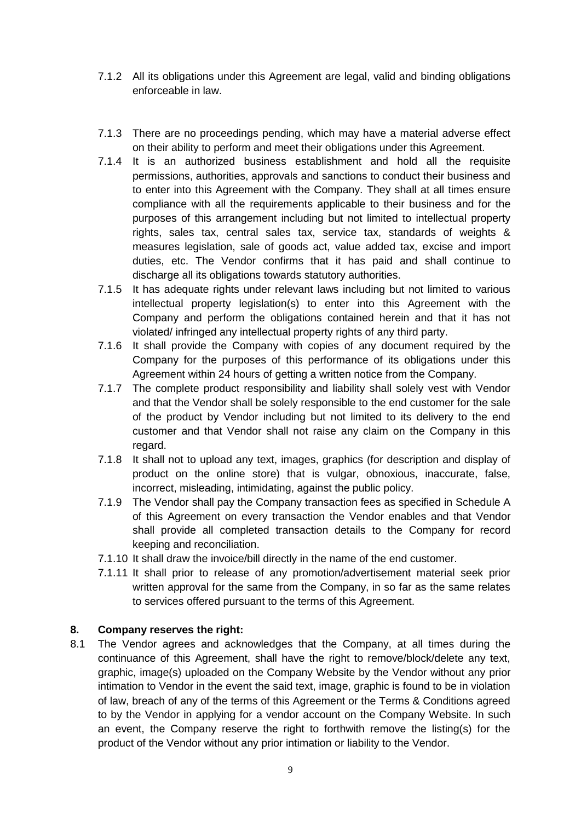- 7.1.2 All its obligations under this Agreement are legal, valid and binding obligations enforceable in law.
- 7.1.3 There are no proceedings pending, which may have a material adverse effect on their ability to perform and meet their obligations under this Agreement.
- 7.1.4 It is an authorized business establishment and hold all the requisite permissions, authorities, approvals and sanctions to conduct their business and to enter into this Agreement with the Company. They shall at all times ensure compliance with all the requirements applicable to their business and for the purposes of this arrangement including but not limited to intellectual property rights, sales tax, central sales tax, service tax, standards of weights & measures legislation, sale of goods act, value added tax, excise and import duties, etc. The Vendor confirms that it has paid and shall continue to discharge all its obligations towards statutory authorities.
- 7.1.5 It has adequate rights under relevant laws including but not limited to various intellectual property legislation(s) to enter into this Agreement with the Company and perform the obligations contained herein and that it has not violated/ infringed any intellectual property rights of any third party.
- 7.1.6 It shall provide the Company with copies of any document required by the Company for the purposes of this performance of its obligations under this Agreement within 24 hours of getting a written notice from the Company.
- 7.1.7 The complete product responsibility and liability shall solely vest with Vendor and that the Vendor shall be solely responsible to the end customer for the sale of the product by Vendor including but not limited to its delivery to the end customer and that Vendor shall not raise any claim on the Company in this regard.
- 7.1.8 It shall not to upload any text, images, graphics (for description and display of product on the online store) that is vulgar, obnoxious, inaccurate, false, incorrect, misleading, intimidating, against the public policy.
- 7.1.9 The Vendor shall pay the Company transaction fees as specified in Schedule A of this Agreement on every transaction the Vendor enables and that Vendor shall provide all completed transaction details to the Company for record keeping and reconciliation.
- 7.1.10 It shall draw the invoice/bill directly in the name of the end customer.
- 7.1.11 It shall prior to release of any promotion/advertisement material seek prior written approval for the same from the Company, in so far as the same relates to services offered pursuant to the terms of this Agreement.

# **8. Company reserves the right:**

8.1 The Vendor agrees and acknowledges that the Company, at all times during the continuance of this Agreement, shall have the right to remove/block/delete any text, graphic, image(s) uploaded on the Company Website by the Vendor without any prior intimation to Vendor in the event the said text, image, graphic is found to be in violation of law, breach of any of the terms of this Agreement or the Terms & Conditions agreed to by the Vendor in applying for a vendor account on the Company Website. In such an event, the Company reserve the right to forthwith remove the listing(s) for the product of the Vendor without any prior intimation or liability to the Vendor.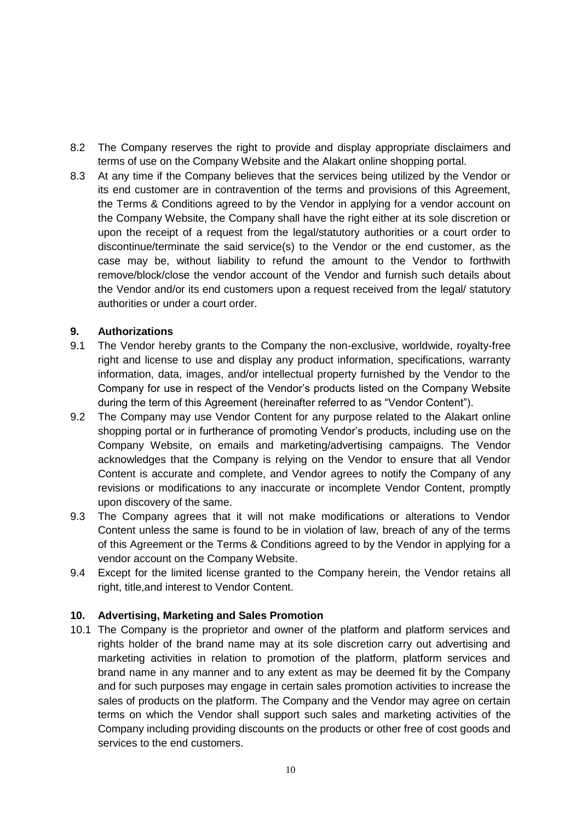- 8.2 The Company reserves the right to provide and display appropriate disclaimers and terms of use on the Company Website and the Alakart online shopping portal.
- 8.3 At any time if the Company believes that the services being utilized by the Vendor or its end customer are in contravention of the terms and provisions of this Agreement, the Terms & Conditions agreed to by the Vendor in applying for a vendor account on the Company Website, the Company shall have the right either at its sole discretion or upon the receipt of a request from the legal/statutory authorities or a court order to discontinue/terminate the said service(s) to the Vendor or the end customer, as the case may be, without liability to refund the amount to the Vendor to forthwith remove/block/close the vendor account of the Vendor and furnish such details about the Vendor and/or its end customers upon a request received from the legal/ statutory authorities or under a court order.

## **9. Authorizations**

- 9.1 The Vendor hereby grants to the Company the non-exclusive, worldwide, royalty-free right and license to use and display any product information, specifications, warranty information, data, images, and/or intellectual property furnished by the Vendor to the Company for use in respect of the Vendor's products listed on the Company Website during the term of this Agreement (hereinafter referred to as "Vendor Content").
- 9.2 The Company may use Vendor Content for any purpose related to the Alakart online shopping portal or in furtherance of promoting Vendor's products, including use on the Company Website, on emails and marketing/advertising campaigns. The Vendor acknowledges that the Company is relying on the Vendor to ensure that all Vendor Content is accurate and complete, and Vendor agrees to notify the Company of any revisions or modifications to any inaccurate or incomplete Vendor Content, promptly upon discovery of the same.
- 9.3 The Company agrees that it will not make modifications or alterations to Vendor Content unless the same is found to be in violation of law, breach of any of the terms of this Agreement or the Terms & Conditions agreed to by the Vendor in applying for a vendor account on the Company Website.
- 9.4 Except for the limited license granted to the Company herein, the Vendor retains all right, title,and interest to Vendor Content.

### **10. Advertising, Marketing and Sales Promotion**

10.1 The Company is the proprietor and owner of the platform and platform services and rights holder of the brand name may at its sole discretion carry out advertising and marketing activities in relation to promotion of the platform, platform services and brand name in any manner and to any extent as may be deemed fit by the Company and for such purposes may engage in certain sales promotion activities to increase the sales of products on the platform. The Company and the Vendor may agree on certain terms on which the Vendor shall support such sales and marketing activities of the Company including providing discounts on the products or other free of cost goods and services to the end customers.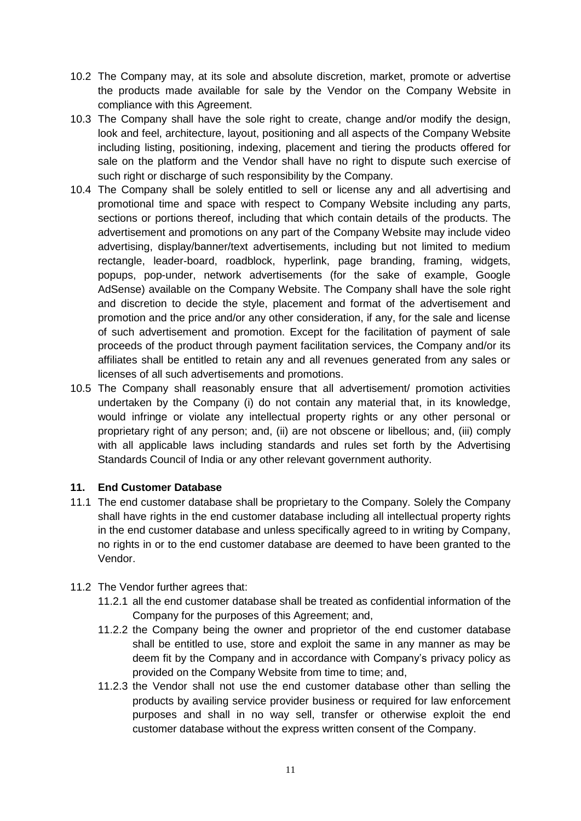- 10.2 The Company may, at its sole and absolute discretion, market, promote or advertise the products made available for sale by the Vendor on the Company Website in compliance with this Agreement.
- 10.3 The Company shall have the sole right to create, change and/or modify the design, look and feel, architecture, layout, positioning and all aspects of the Company Website including listing, positioning, indexing, placement and tiering the products offered for sale on the platform and the Vendor shall have no right to dispute such exercise of such right or discharge of such responsibility by the Company.
- 10.4 The Company shall be solely entitled to sell or license any and all advertising and promotional time and space with respect to Company Website including any parts, sections or portions thereof, including that which contain details of the products. The advertisement and promotions on any part of the Company Website may include video advertising, display/banner/text advertisements, including but not limited to medium rectangle, leader-board, roadblock, hyperlink, page branding, framing, widgets, popups, pop-under, network advertisements (for the sake of example, Google AdSense) available on the Company Website. The Company shall have the sole right and discretion to decide the style, placement and format of the advertisement and promotion and the price and/or any other consideration, if any, for the sale and license of such advertisement and promotion. Except for the facilitation of payment of sale proceeds of the product through payment facilitation services, the Company and/or its affiliates shall be entitled to retain any and all revenues generated from any sales or licenses of all such advertisements and promotions.
- 10.5 The Company shall reasonably ensure that all advertisement/ promotion activities undertaken by the Company (i) do not contain any material that, in its knowledge, would infringe or violate any intellectual property rights or any other personal or proprietary right of any person; and, (ii) are not obscene or libellous; and, (iii) comply with all applicable laws including standards and rules set forth by the Advertising Standards Council of India or any other relevant government authority.

### **11. End Customer Database**

- 11.1 The end customer database shall be proprietary to the Company. Solely the Company shall have rights in the end customer database including all intellectual property rights in the end customer database and unless specifically agreed to in writing by Company, no rights in or to the end customer database are deemed to have been granted to the Vendor.
- 11.2 The Vendor further agrees that:
	- 11.2.1 all the end customer database shall be treated as confidential information of the Company for the purposes of this Agreement; and,
	- 11.2.2 the Company being the owner and proprietor of the end customer database shall be entitled to use, store and exploit the same in any manner as may be deem fit by the Company and in accordance with Company's privacy policy as provided on the Company Website from time to time; and,
	- 11.2.3 the Vendor shall not use the end customer database other than selling the products by availing service provider business or required for law enforcement purposes and shall in no way sell, transfer or otherwise exploit the end customer database without the express written consent of the Company.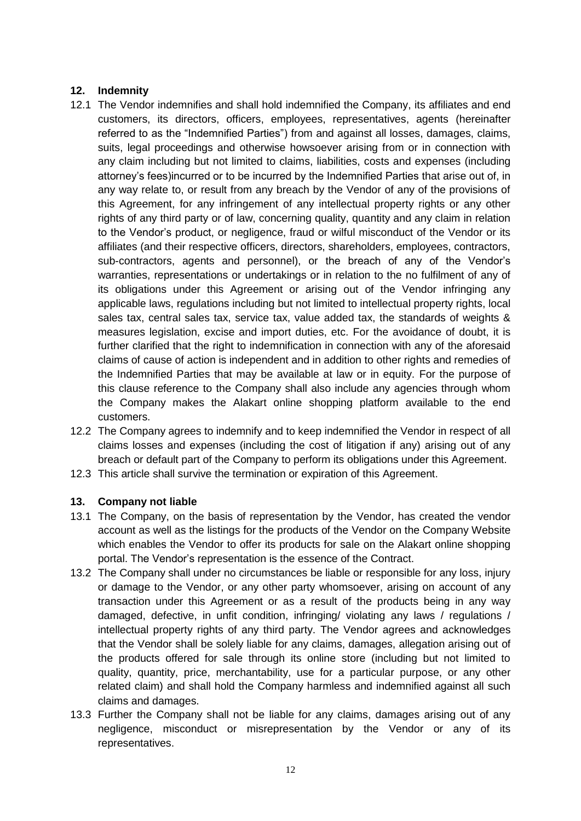## **12. Indemnity**

- 12.1 The Vendor indemnifies and shall hold indemnified the Company, its affiliates and end customers, its directors, officers, employees, representatives, agents (hereinafter referred to as the "Indemnified Parties") from and against all losses, damages, claims, suits, legal proceedings and otherwise howsoever arising from or in connection with any claim including but not limited to claims, liabilities, costs and expenses (including attorney's fees)incurred or to be incurred by the Indemnified Parties that arise out of, in any way relate to, or result from any breach by the Vendor of any of the provisions of this Agreement, for any infringement of any intellectual property rights or any other rights of any third party or of law, concerning quality, quantity and any claim in relation to the Vendor's product, or negligence, fraud or wilful misconduct of the Vendor or its affiliates (and their respective officers, directors, shareholders, employees, contractors, sub-contractors, agents and personnel), or the breach of any of the Vendor's warranties, representations or undertakings or in relation to the no fulfilment of any of its obligations under this Agreement or arising out of the Vendor infringing any applicable laws, regulations including but not limited to intellectual property rights, local sales tax, central sales tax, service tax, value added tax, the standards of weights & measures legislation, excise and import duties, etc. For the avoidance of doubt, it is further clarified that the right to indemnification in connection with any of the aforesaid claims of cause of action is independent and in addition to other rights and remedies of the Indemnified Parties that may be available at law or in equity. For the purpose of this clause reference to the Company shall also include any agencies through whom the Company makes the Alakart online shopping platform available to the end customers.
- 12.2 The Company agrees to indemnify and to keep indemnified the Vendor in respect of all claims losses and expenses (including the cost of litigation if any) arising out of any breach or default part of the Company to perform its obligations under this Agreement.
- 12.3 This article shall survive the termination or expiration of this Agreement.

### **13. Company not liable**

- 13.1 The Company, on the basis of representation by the Vendor, has created the vendor account as well as the listings for the products of the Vendor on the Company Website which enables the Vendor to offer its products for sale on the Alakart online shopping portal. The Vendor's representation is the essence of the Contract.
- 13.2 The Company shall under no circumstances be liable or responsible for any loss, injury or damage to the Vendor, or any other party whomsoever, arising on account of any transaction under this Agreement or as a result of the products being in any way damaged, defective, in unfit condition, infringing/ violating any laws / regulations / intellectual property rights of any third party. The Vendor agrees and acknowledges that the Vendor shall be solely liable for any claims, damages, allegation arising out of the products offered for sale through its online store (including but not limited to quality, quantity, price, merchantability, use for a particular purpose, or any other related claim) and shall hold the Company harmless and indemnified against all such claims and damages.
- 13.3 Further the Company shall not be liable for any claims, damages arising out of any negligence, misconduct or misrepresentation by the Vendor or any of its representatives.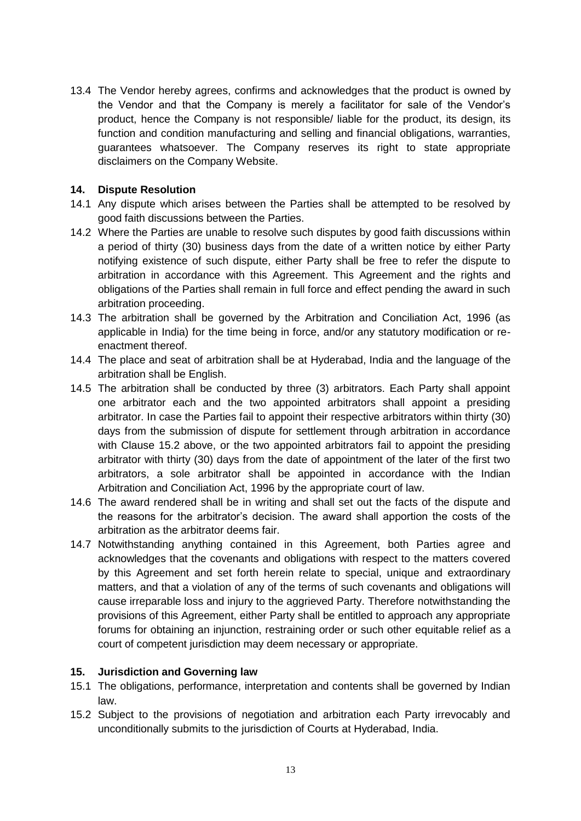13.4 The Vendor hereby agrees, confirms and acknowledges that the product is owned by the Vendor and that the Company is merely a facilitator for sale of the Vendor's product, hence the Company is not responsible/ liable for the product, its design, its function and condition manufacturing and selling and financial obligations, warranties, guarantees whatsoever. The Company reserves its right to state appropriate disclaimers on the Company Website.

### **14. Dispute Resolution**

- 14.1 Any dispute which arises between the Parties shall be attempted to be resolved by good faith discussions between the Parties.
- 14.2 Where the Parties are unable to resolve such disputes by good faith discussions within a period of thirty (30) business days from the date of a written notice by either Party notifying existence of such dispute, either Party shall be free to refer the dispute to arbitration in accordance with this Agreement. This Agreement and the rights and obligations of the Parties shall remain in full force and effect pending the award in such arbitration proceeding.
- 14.3 The arbitration shall be governed by the Arbitration and Conciliation Act, 1996 (as applicable in India) for the time being in force, and/or any statutory modification or reenactment thereof.
- 14.4 The place and seat of arbitration shall be at Hyderabad, India and the language of the arbitration shall be English.
- 14.5 The arbitration shall be conducted by three (3) arbitrators. Each Party shall appoint one arbitrator each and the two appointed arbitrators shall appoint a presiding arbitrator. In case the Parties fail to appoint their respective arbitrators within thirty (30) days from the submission of dispute for settlement through arbitration in accordance with Clause 15.2 above, or the two appointed arbitrators fail to appoint the presiding arbitrator with thirty (30) days from the date of appointment of the later of the first two arbitrators, a sole arbitrator shall be appointed in accordance with the Indian Arbitration and Conciliation Act, 1996 by the appropriate court of law.
- 14.6 The award rendered shall be in writing and shall set out the facts of the dispute and the reasons for the arbitrator's decision. The award shall apportion the costs of the arbitration as the arbitrator deems fair.
- 14.7 Notwithstanding anything contained in this Agreement, both Parties agree and acknowledges that the covenants and obligations with respect to the matters covered by this Agreement and set forth herein relate to special, unique and extraordinary matters, and that a violation of any of the terms of such covenants and obligations will cause irreparable loss and injury to the aggrieved Party. Therefore notwithstanding the provisions of this Agreement, either Party shall be entitled to approach any appropriate forums for obtaining an injunction, restraining order or such other equitable relief as a court of competent jurisdiction may deem necessary or appropriate.

### **15. Jurisdiction and Governing law**

- 15.1 The obligations, performance, interpretation and contents shall be governed by Indian law.
- 15.2 Subject to the provisions of negotiation and arbitration each Party irrevocably and unconditionally submits to the jurisdiction of Courts at Hyderabad, India.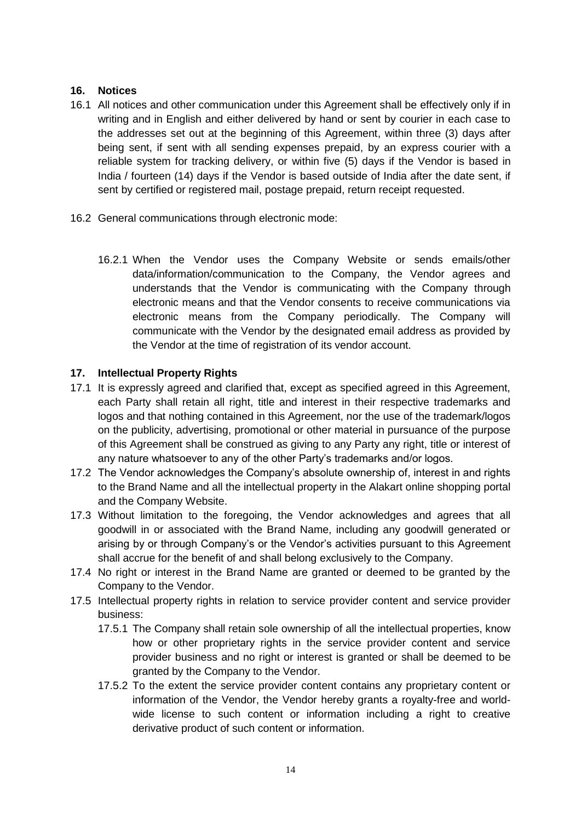## **16. Notices**

- 16.1 All notices and other communication under this Agreement shall be effectively only if in writing and in English and either delivered by hand or sent by courier in each case to the addresses set out at the beginning of this Agreement, within three (3) days after being sent, if sent with all sending expenses prepaid, by an express courier with a reliable system for tracking delivery, or within five (5) days if the Vendor is based in India / fourteen (14) days if the Vendor is based outside of India after the date sent, if sent by certified or registered mail, postage prepaid, return receipt requested.
- 16.2 General communications through electronic mode:
	- 16.2.1 When the Vendor uses the Company Website or sends emails/other data/information/communication to the Company, the Vendor agrees and understands that the Vendor is communicating with the Company through electronic means and that the Vendor consents to receive communications via electronic means from the Company periodically. The Company will communicate with the Vendor by the designated email address as provided by the Vendor at the time of registration of its vendor account.

## **17. Intellectual Property Rights**

- 17.1 It is expressly agreed and clarified that, except as specified agreed in this Agreement, each Party shall retain all right, title and interest in their respective trademarks and logos and that nothing contained in this Agreement, nor the use of the trademark/logos on the publicity, advertising, promotional or other material in pursuance of the purpose of this Agreement shall be construed as giving to any Party any right, title or interest of any nature whatsoever to any of the other Party's trademarks and/or logos.
- 17.2 The Vendor acknowledges the Company's absolute ownership of, interest in and rights to the Brand Name and all the intellectual property in the Alakart online shopping portal and the Company Website.
- 17.3 Without limitation to the foregoing, the Vendor acknowledges and agrees that all goodwill in or associated with the Brand Name, including any goodwill generated or arising by or through Company's or the Vendor's activities pursuant to this Agreement shall accrue for the benefit of and shall belong exclusively to the Company.
- 17.4 No right or interest in the Brand Name are granted or deemed to be granted by the Company to the Vendor.
- 17.5 Intellectual property rights in relation to service provider content and service provider business:
	- 17.5.1 The Company shall retain sole ownership of all the intellectual properties, know how or other proprietary rights in the service provider content and service provider business and no right or interest is granted or shall be deemed to be granted by the Company to the Vendor.
	- 17.5.2 To the extent the service provider content contains any proprietary content or information of the Vendor, the Vendor hereby grants a royalty-free and worldwide license to such content or information including a right to creative derivative product of such content or information.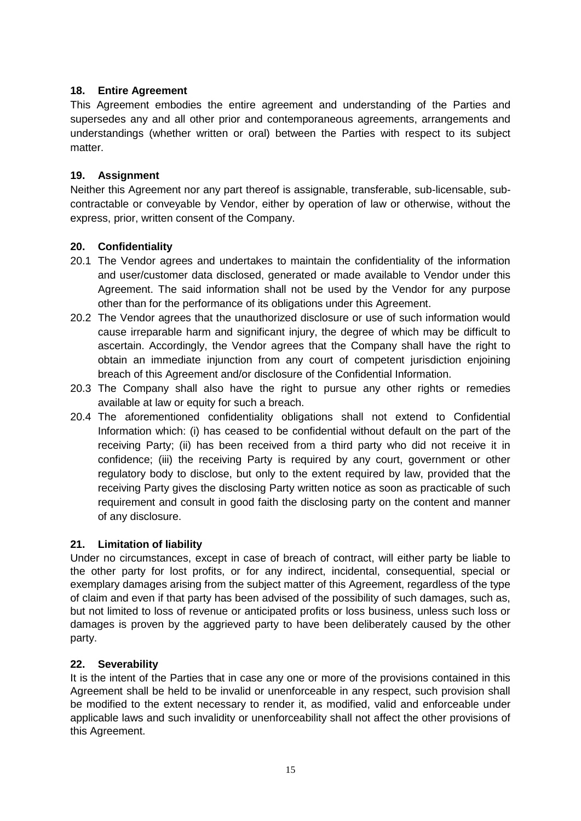# **18. Entire Agreement**

This Agreement embodies the entire agreement and understanding of the Parties and supersedes any and all other prior and contemporaneous agreements, arrangements and understandings (whether written or oral) between the Parties with respect to its subject matter.

# **19. Assignment**

Neither this Agreement nor any part thereof is assignable, transferable, sub-licensable, subcontractable or conveyable by Vendor, either by operation of law or otherwise, without the express, prior, written consent of the Company.

# **20. Confidentiality**

- 20.1 The Vendor agrees and undertakes to maintain the confidentiality of the information and user/customer data disclosed, generated or made available to Vendor under this Agreement. The said information shall not be used by the Vendor for any purpose other than for the performance of its obligations under this Agreement.
- 20.2 The Vendor agrees that the unauthorized disclosure or use of such information would cause irreparable harm and significant injury, the degree of which may be difficult to ascertain. Accordingly, the Vendor agrees that the Company shall have the right to obtain an immediate injunction from any court of competent jurisdiction enjoining breach of this Agreement and/or disclosure of the Confidential Information.
- 20.3 The Company shall also have the right to pursue any other rights or remedies available at law or equity for such a breach.
- 20.4 The aforementioned confidentiality obligations shall not extend to Confidential Information which: (i) has ceased to be confidential without default on the part of the receiving Party; (ii) has been received from a third party who did not receive it in confidence; (iii) the receiving Party is required by any court, government or other regulatory body to disclose, but only to the extent required by law, provided that the receiving Party gives the disclosing Party written notice as soon as practicable of such requirement and consult in good faith the disclosing party on the content and manner of any disclosure.

# **21. Limitation of liability**

Under no circumstances, except in case of breach of contract, will either party be liable to the other party for lost profits, or for any indirect, incidental, consequential, special or exemplary damages arising from the subject matter of this Agreement, regardless of the type of claim and even if that party has been advised of the possibility of such damages, such as, but not limited to loss of revenue or anticipated profits or loss business, unless such loss or damages is proven by the aggrieved party to have been deliberately caused by the other party.

# **22. Severability**

It is the intent of the Parties that in case any one or more of the provisions contained in this Agreement shall be held to be invalid or unenforceable in any respect, such provision shall be modified to the extent necessary to render it, as modified, valid and enforceable under applicable laws and such invalidity or unenforceability shall not affect the other provisions of this Agreement.